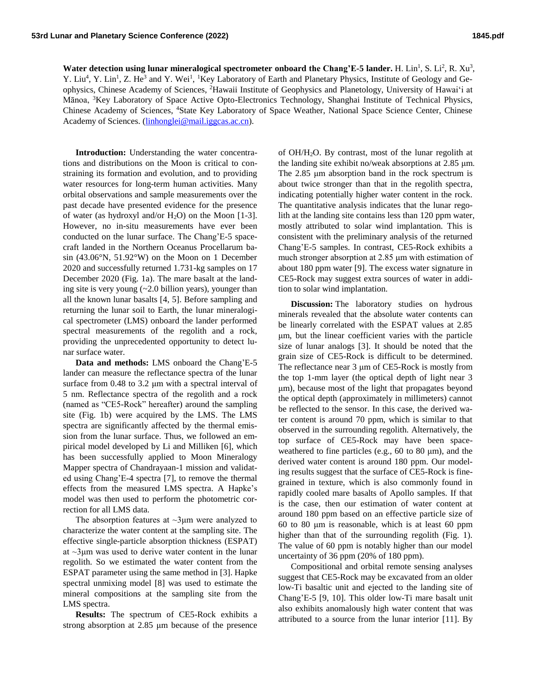**Water detection using lunar mineralogical spectrometer onboard the Chang'E-5 lander. H. Lin<sup>1</sup>, S. Li<sup>2</sup>, R. Xu<sup>3</sup>,** Y. Liu<sup>4</sup>, Y. Lin<sup>1</sup>, Z. He<sup>3</sup> and Y. Wei<sup>1</sup>, <sup>1</sup>Key Laboratory of Earth and Planetary Physics, Institute of Geology and Geophysics, Chinese Academy of Sciences, <sup>2</sup>Hawaii Institute of Geophysics and Planetology, University of Hawaiʻi at Mānoa, <sup>3</sup>Key Laboratory of Space Active Opto-Electronics Technology, Shanghai Institute of Technical Physics, Chinese Academy of Sciences, <sup>4</sup>State Key Laboratory of Space Weather, National Space Science Center, Chinese Academy of Sciences. [\(linhonglei@mail.iggcas.ac.cn\)](mailto:linhonglei@mail.iggcas.ac.cn).

**Introduction:** Understanding the water concentrations and distributions on the Moon is critical to constraining its formation and evolution, and to providing water resources for long-term human activities. Many orbital observations and sample measurements over the past decade have presented evidence for the presence of water (as hydroxyl and/or  $H_2O$ ) on the Moon [1-3]. However, no in-situ measurements have ever been conducted on the lunar surface. The Chang'E-5 spacecraft landed in the Northern Oceanus Procellarum basin (43.06°N, 51.92°W) on the Moon on 1 December 2020 and successfully returned 1.731-kg samples on 17 December 2020 (Fig. 1a). The mare basalt at the landing site is very young  $(-2.0 \text{ billion years})$ , younger than all the known lunar basalts [4, 5]. Before sampling and returning the lunar soil to Earth, the lunar mineralogical spectrometer (LMS) onboard the lander performed spectral measurements of the regolith and a rock, providing the unprecedented opportunity to detect lunar surface water.

**Data and methods:** LMS onboard the Chang'E-5 lander can measure the reflectance spectra of the lunar surface from 0.48 to 3.2 μm with a spectral interval of 5 nm. Reflectance spectra of the regolith and a rock (named as "CE5-Rock" hereafter) around the sampling site (Fig. 1b) were acquired by the LMS. The LMS spectra are significantly affected by the thermal emission from the lunar surface. Thus, we followed an empirical model developed by Li and Milliken [6], which has been successfully applied to Moon Mineralogy Mapper spectra of Chandrayaan-1 mission and validated using Chang'E-4 spectra [7], to remove the thermal effects from the measured LMS spectra. A Hapke's model was then used to perform the photometric correction for all LMS data.

The absorption features at  $\sim$ 3µm were analyzed to characterize the water content at the sampling site. The effective single-particle absorption thickness (ESPAT) at  $\sim$ 3 $\mu$ m was used to derive water content in the lunar regolith. So we estimated the water content from the ESPAT parameter using the same method in [3]. Hapke spectral unmixing model [8] was used to estimate the mineral compositions at the sampling site from the LMS spectra.

**Results:** The spectrum of CE5-Rock exhibits a strong absorption at 2.85 μm because of the presence of OH/H2O. By contrast, most of the lunar regolith at the landing site exhibit no/weak absorptions at 2.85 μm. The 2.85 μm absorption band in the rock spectrum is about twice stronger than that in the regolith spectra, indicating potentially higher water content in the rock. The quantitative analysis indicates that the lunar regolith at the landing site contains less than 120 ppm water, mostly attributed to solar wind implantation. This is consistent with the preliminary analysis of the returned Chang'E-5 samples. In contrast, CE5-Rock exhibits a much stronger absorption at 2.85 μm with estimation of about 180 ppm water [9]. The excess water signature in CE5-Rock may suggest extra sources of water in addition to solar wind implantation.

**Discussion:** The laboratory studies on hydrous minerals revealed that the absolute water contents can be linearly correlated with the ESPAT values at 2.85 μm, but the linear coefficient varies with the particle size of lunar analogs [3]. It should be noted that the grain size of CE5-Rock is difficult to be determined. The reflectance near 3 μm of CE5-Rock is mostly from the top 1-mm layer (the optical depth of light near 3 μm), because most of the light that propagates beyond the optical depth (approximately in millimeters) cannot be reflected to the sensor. In this case, the derived water content is around 70 ppm, which is similar to that observed in the surrounding regolith. Alternatively, the top surface of CE5-Rock may have been spaceweathered to fine particles (e.g., 60 to 80 μm), and the derived water content is around 180 ppm. Our modeling results suggest that the surface of CE5-Rock is finegrained in texture, which is also commonly found in rapidly cooled mare basalts of Apollo samples. If that is the case, then our estimation of water content at around 180 ppm based on an effective particle size of 60 to 80 μm is reasonable, which is at least 60 ppm higher than that of the surrounding regolith (Fig. 1). The value of 60 ppm is notably higher than our model uncertainty of 36 ppm (20% of 180 ppm).

Compositional and orbital remote sensing analyses suggest that CE5-Rock may be excavated from an older low-Ti basaltic unit and ejected to the landing site of Chang'E-5 [9, 10]. This older low-Ti mare basalt unit also exhibits anomalously high water content that was attributed to a source from the lunar interior [11]. By